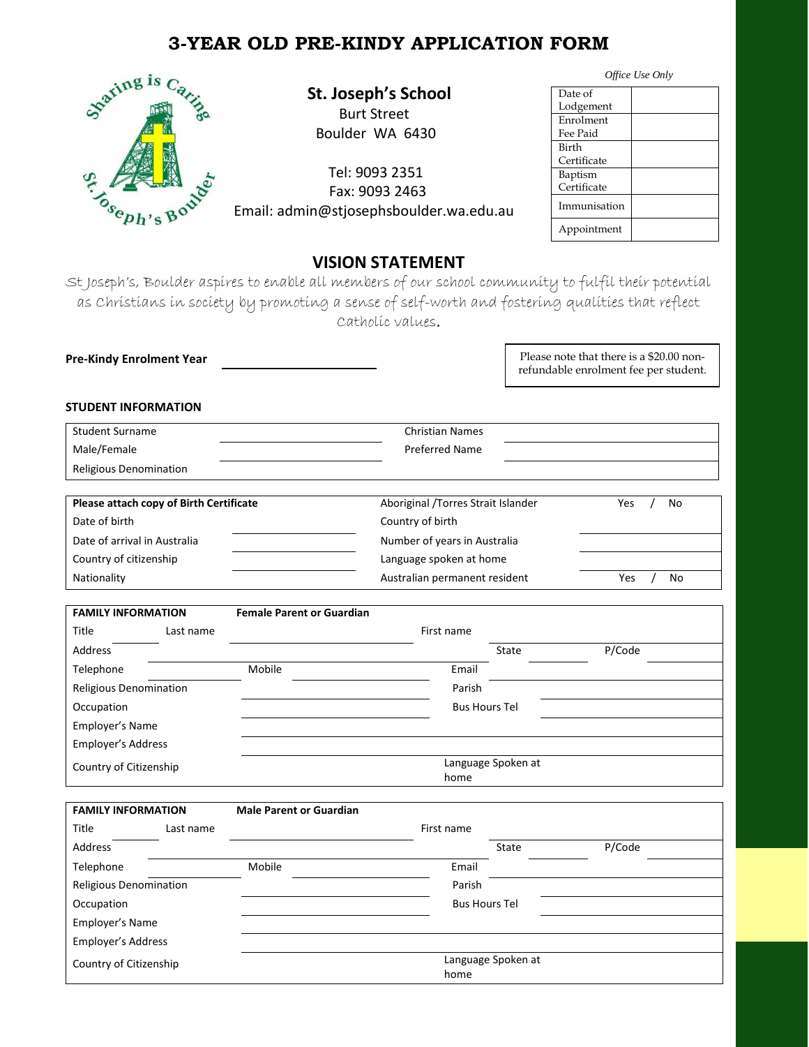# **3-YEAR OLD PRE-KINDY APPLICATION FORM**



 **St. Joseph's School**

 Burt Street Boulder WA 6430

Tel: 9093 2351<br>Fax: 9093 2463<br>Poh's Bo<sup>od</sup> Email: admin@stjosenhshoule Fax: 9093 2463 Email: admin@stjosephsboulder.wa.edu.au

| Date of      |  |
|--------------|--|
| Lodgement    |  |
| Enrolment    |  |
| Fee Paid     |  |
| <b>Birth</b> |  |
| Certificate  |  |
| Baptism      |  |
| Certificate  |  |
| Immunisation |  |
| Appointment  |  |

## **VISION STATEMENT**

St Joseph's, Boulder aspires to enable all members of our school community to fulfil their potential as Christians in society by promoting a sense of self-worth and fostering qualities that reflect Catholic values.

**Pre-Kindy Enrolment Year** 

Please note that there is a \$20.00 nonrefundable enrolment fee per student.

### **STUDENT INFORMATION**

| <b>Student Surname</b> | <b>Christian Names</b> |  |
|------------------------|------------------------|--|
| Male/Female            | <b>Preferred Name</b>  |  |
| Religious Denomination |                        |  |
|                        |                        |  |

| Please attach copy of Birth Certificate | Aboriginal / Torres Strait Islander | No<br><b>Yes</b> |
|-----------------------------------------|-------------------------------------|------------------|
| Date of birth                           | Country of birth                    |                  |
| Date of arrival in Australia            | Number of years in Australia        |                  |
| Country of citizenship                  | Language spoken at home             |                  |
| Nationality                             | Australian permanent resident       | No<br>Yes        |

| <b>FAMILY INFORMATION</b> |           | <b>Female Parent or Guardian</b> |            |                      |        |  |
|---------------------------|-----------|----------------------------------|------------|----------------------|--------|--|
| Title                     | Last name |                                  | First name |                      |        |  |
| Address                   |           |                                  |            | State                | P/Code |  |
| Telephone                 |           | Mobile                           | Email      |                      |        |  |
| Religious Denomination    |           |                                  | Parish     |                      |        |  |
| Occupation                |           |                                  |            | <b>Bus Hours Tel</b> |        |  |
| Employer's Name           |           |                                  |            |                      |        |  |
| Employer's Address        |           |                                  |            |                      |        |  |
| Country of Citizenship    |           |                                  |            | Language Spoken at   |        |  |
|                           |           |                                  | home       |                      |        |  |

| <b>FAMILY INFORMATION</b> |           | <b>Male Parent or Guardian</b> |                      |                    |        |  |
|---------------------------|-----------|--------------------------------|----------------------|--------------------|--------|--|
| Title                     | Last name |                                | First name           |                    |        |  |
| Address                   |           |                                |                      | State              | P/Code |  |
| Telephone                 |           | Mobile                         | Email                |                    |        |  |
| Religious Denomination    |           |                                | Parish               |                    |        |  |
| Occupation                |           |                                | <b>Bus Hours Tel</b> |                    |        |  |
| Employer's Name           |           |                                |                      |                    |        |  |
| Employer's Address        |           |                                |                      |                    |        |  |
| Country of Citizenship    |           |                                | home                 | Language Spoken at |        |  |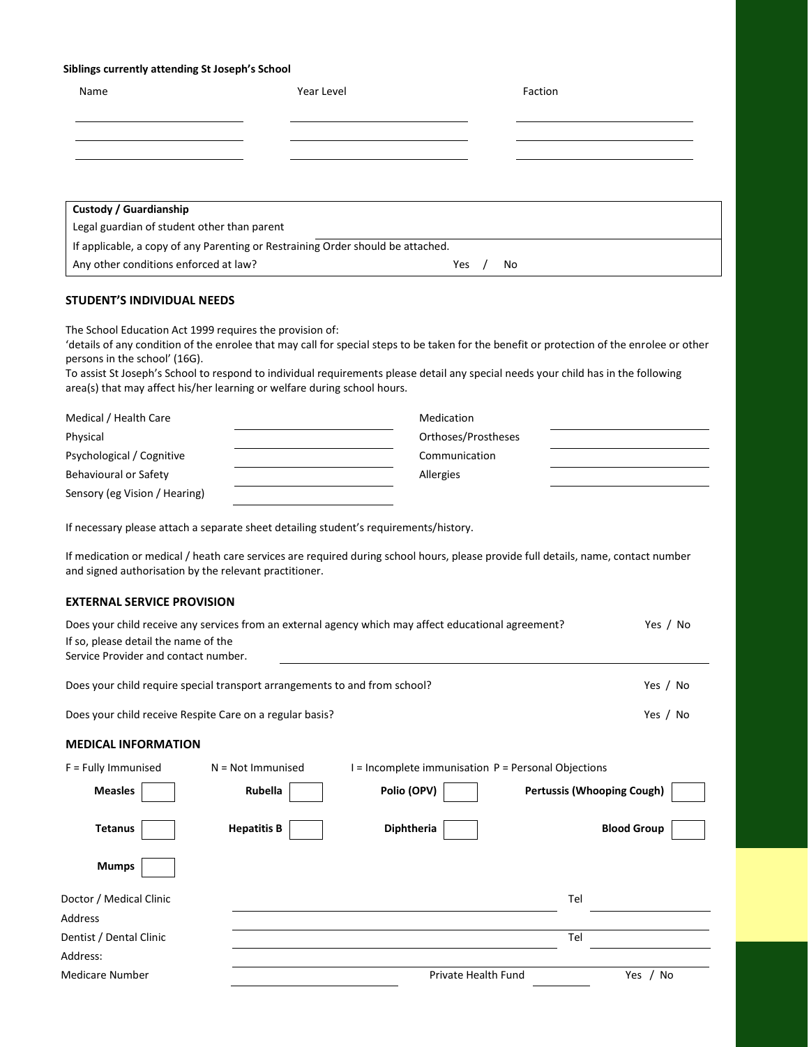#### **Siblings currently attending St Joseph's School**

| Name                                                                            | Year Level |     | Faction |
|---------------------------------------------------------------------------------|------------|-----|---------|
|                                                                                 |            |     |         |
|                                                                                 |            |     |         |
|                                                                                 |            |     |         |
|                                                                                 |            |     |         |
| Custody / Guardianship                                                          |            |     |         |
| Legal guardian of student other than parent                                     |            |     |         |
| If applicable, a copy of any Parenting or Restraining Order should be attached. |            |     |         |
| Any other conditions enforced at law?                                           |            | Yes | No      |
|                                                                                 |            |     |         |
| <b>STUDENT'S INDIVIDUAL NEEDS</b>                                               |            |     |         |
| The School Education Act 1999 requires the provision of:                        |            |     |         |

'details of any condition of the enrolee that may call for special steps to be taken for the benefit or protection of the enrolee or other persons in the school' (16G).

To assist St Joseph's School to respond to individual requirements please detail any special needs your child has in the following area(s) that may affect his/her learning or welfare during school hours.

| Medical / Health Care         | Medication          |  |
|-------------------------------|---------------------|--|
| Physical                      | Orthoses/Prostheses |  |
| Psychological / Cognitive     | Communication       |  |
| Behavioural or Safety         | Allergies           |  |
| Sensory (eg Vision / Hearing) |                     |  |

If necessary please attach a separate sheet detailing student's requirements/history.

If medication or medical / heath care services are required during school hours, please provide full details, name, contact number and signed authorisation by the relevant practitioner.

#### **EXTERNAL SERVICE PROVISION**

| Does your child receive any services from an external agency which may affect educational agreement?<br>Yes / No<br>If so, please detail the name of the<br>Service Provider and contact number. |                                                                            |                                                     |                                   |                    |
|--------------------------------------------------------------------------------------------------------------------------------------------------------------------------------------------------|----------------------------------------------------------------------------|-----------------------------------------------------|-----------------------------------|--------------------|
|                                                                                                                                                                                                  | Does your child require special transport arrangements to and from school? |                                                     |                                   | Yes / No           |
|                                                                                                                                                                                                  | Does your child receive Respite Care on a regular basis?                   |                                                     |                                   | Yes / No           |
| <b>MEDICAL INFORMATION</b>                                                                                                                                                                       |                                                                            |                                                     |                                   |                    |
| $F =$ Fully Immunised                                                                                                                                                                            | $N = Not$ Immunised                                                        | I = Incomplete immunisation P = Personal Objections |                                   |                    |
| <b>Measles</b>                                                                                                                                                                                   | Rubella                                                                    | Polio (OPV)                                         | <b>Pertussis (Whooping Cough)</b> |                    |
| <b>Tetanus</b>                                                                                                                                                                                   | <b>Hepatitis B</b>                                                         | Diphtheria                                          |                                   | <b>Blood Group</b> |
| <b>Mumps</b>                                                                                                                                                                                     |                                                                            |                                                     |                                   |                    |
| Doctor / Medical Clinic                                                                                                                                                                          |                                                                            |                                                     | Tel                               |                    |
| <b>Address</b>                                                                                                                                                                                   |                                                                            |                                                     |                                   |                    |
| Dentist / Dental Clinic                                                                                                                                                                          |                                                                            |                                                     | Tel                               |                    |
| Address:                                                                                                                                                                                         |                                                                            |                                                     |                                   |                    |
| Medicare Number                                                                                                                                                                                  |                                                                            | Private Health Fund                                 |                                   | Yes<br>/ No        |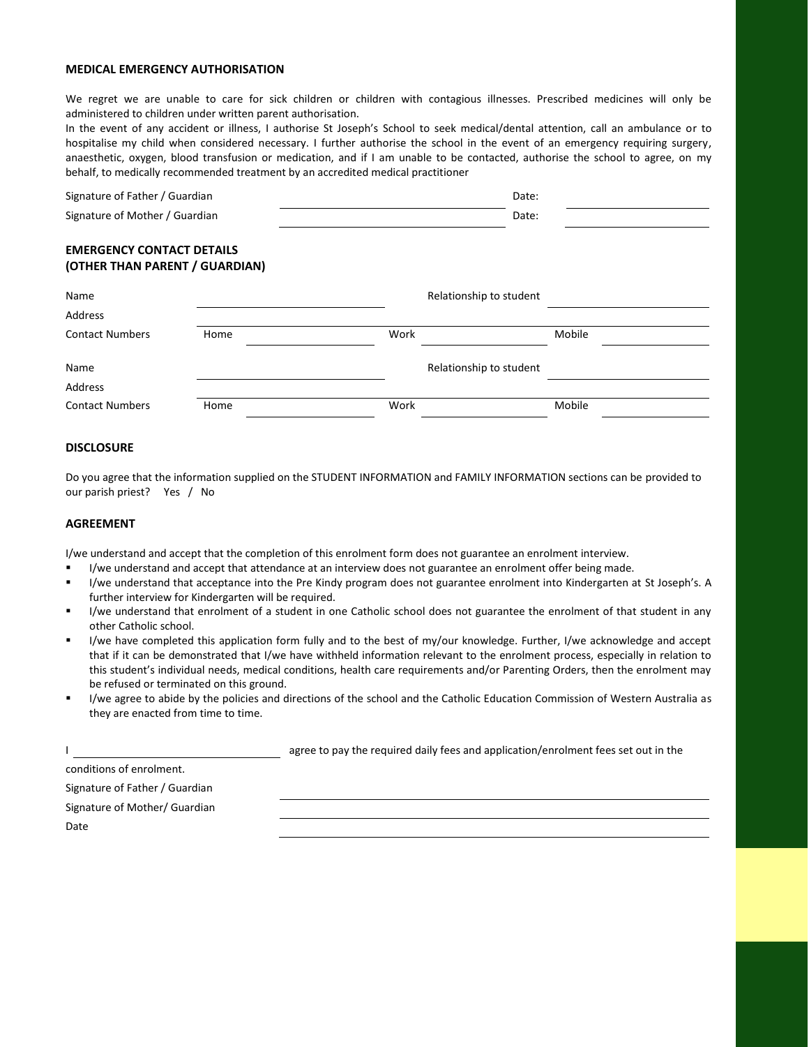#### **MEDICAL EMERGENCY AUTHORISATION**

We regret we are unable to care for sick children or children with contagious illnesses. Prescribed medicines will only be administered to children under written parent authorisation.

In the event of any accident or illness, I authorise St Joseph's School to seek medical/dental attention, call an ambulance or to hospitalise my child when considered necessary. I further authorise the school in the event of an emergency requiring surgery, anaesthetic, oxygen, blood transfusion or medication, and if I am unable to be contacted, authorise the school to agree, on my behalf, to medically recommended treatment by an accredited medical practitioner

| Signature of Father / Guardian | Date: |  |
|--------------------------------|-------|--|
| Signature of Mother / Guardian | Date: |  |
|                                |       |  |

#### **EMERGENCY CONTACT DETAILS (OTHER THAN PARENT / GUARDIAN)**

| Name<br>Address        |      |      | Relationship to student |        |
|------------------------|------|------|-------------------------|--------|
| <b>Contact Numbers</b> | Home | Work |                         | Mobile |
| Name                   |      |      | Relationship to student |        |
| Address                |      |      |                         |        |
| <b>Contact Numbers</b> | Home | Work |                         | Mobile |

#### **DISCLOSURE**

Do you agree that the information supplied on the STUDENT INFORMATION and FAMILY INFORMATION sections can be provided to our parish priest? Yes / No

#### **AGREEMENT**

I/we understand and accept that the completion of this enrolment form does not guarantee an enrolment interview.

- I/we understand and accept that attendance at an interview does not guarantee an enrolment offer being made.
- I/we understand that acceptance into the Pre Kindy program does not guarantee enrolment into Kindergarten at St Joseph's. A further interview for Kindergarten will be required.
- I/we understand that enrolment of a student in one Catholic school does not guarantee the enrolment of that student in any other Catholic school.
- I/we have completed this application form fully and to the best of my/our knowledge. Further, I/we acknowledge and accept that if it can be demonstrated that I/we have withheld information relevant to the enrolment process, especially in relation to this student's individual needs, medical conditions, health care requirements and/or Parenting Orders, then the enrolment may be refused or terminated on this ground.
- I/we agree to abide by the policies and directions of the school and the Catholic Education Commission of Western Australia as they are enacted from time to time.

|                                | agree to pay the required daily fees and application/enrolment fees set out in the |
|--------------------------------|------------------------------------------------------------------------------------|
| conditions of enrolment.       |                                                                                    |
| Signature of Father / Guardian |                                                                                    |
| Signature of Mother/ Guardian  |                                                                                    |
| Date                           |                                                                                    |
|                                |                                                                                    |